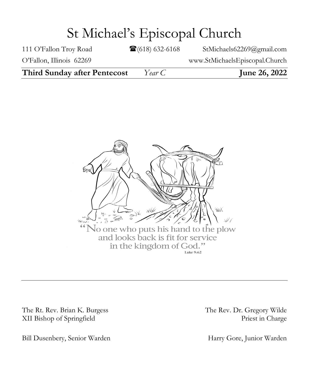# St Michael's Episcopal Church

111 O'Fallon Troy Road **111** O'Fallon Troy Road **111** O'Fallon Troy Road

O'Fallon, Illinois 62269 www.StMichaelsEpiscopal.Church

**Third Sunday after Pentecost** *Year C* **June 26, 2022**



The Rt. Rev. Brian K. Burgess The Rev. Dr. Gregory Wilde XII Bishop of Springfield Priest in Charge

Bill Dusenbery, Senior Warden Harry Gore, Junior Warden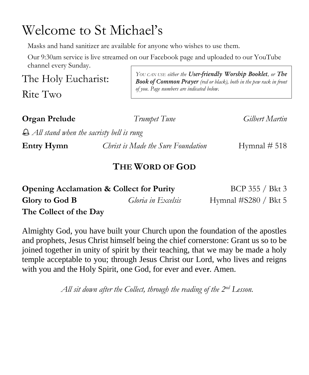# Welcome to St Michael's

Masks and hand sanitizer are available for anyone who wishes to use them.

Our 9:30am service is live streamed on our Facebook page and uploaded to our YouTube channel every Sunday.

The Holy Eucharist:

Rite Two

*YOU CAN USE either the User-friendly Worship Booklet, or The Book of Common Prayer (red or black), both in the pew rack in front of you. Page numbers are indicated below.*

**Organ Prelude** *Trumpet Tune Gilbert Martin*

*All stand when the sacristy bell is rung*

**Entry Hymn** *Christ is Made the Sure Foundation* Hymnal # 518

## **THE WORD OF GOD**

| <b>Opening Acclamation &amp; Collect for Purity</b> |                    | BCP 355 / Bkt 3         |
|-----------------------------------------------------|--------------------|-------------------------|
| Glory to God B                                      | Gloria in Excelsis | Hymnal $\#S280 / Bkt 5$ |
| The Collect of the Day                              |                    |                         |

Almighty God, you have built your Church upon the foundation of the apostles and prophets, Jesus Christ himself being the chief cornerstone: Grant us so to be joined together in unity of spirit by their teaching, that we may be made a holy temple acceptable to you; through Jesus Christ our Lord, who lives and reigns with you and the Holy Spirit, one God, for ever and eve**r**. Amen.

*All sit down after the Collect, through the reading of the 2 nd Lesson.*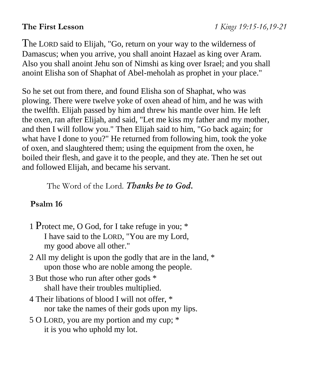The LORD said to Elijah, "Go, return on your way to the wilderness of Damascus; when you arrive, you shall anoint Hazael as king over Aram. Also you shall anoint Jehu son of Nimshi as king over Israel; and you shall anoint Elisha son of Shaphat of Abel-meholah as prophet in your place."

So he set out from there, and found Elisha son of Shaphat, who was plowing. There were twelve yoke of oxen ahead of him, and he was with the twelfth. Elijah passed by him and threw his mantle over him. He left the oxen, ran after Elijah, and said, "Let me kiss my father and my mother, and then I will follow you." Then Elijah said to him, "Go back again; for what have I done to you?" He returned from following him, took the yoke of oxen, and slaughtered them; using the equipment from the oxen, he boiled their flesh, and gave it to the people, and they ate. Then he set out and followed Elijah, and became his servant.

The Word of the Lord. *Thanks be to God.*

# **Psalm 16**

- 1 Protect me, O God, for I take refuge in you; \* I have said to the LORD, "You are my Lord, my good above all other."
- 2 All my delight is upon the godly that are in the land, \* upon those who are noble among the people.
- 3 But those who run after other gods \* shall have their troubles multiplied.
- 4 Their libations of blood I will not offer, \* nor take the names of their gods upon my lips.
- 5 O LORD, you are my portion and my cup; \* it is you who uphold my lot.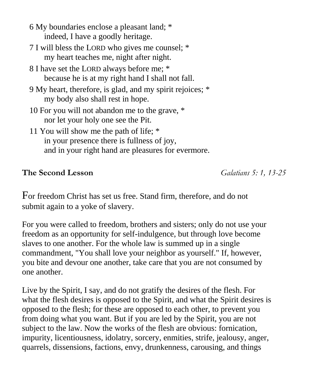- 6 My boundaries enclose a pleasant land; \* indeed, I have a goodly heritage.
- 7 I will bless the LORD who gives me counsel; \* my heart teaches me, night after night.
- 8 I have set the LORD always before me; \* because he is at my right hand I shall not fall.
- 9 My heart, therefore, is glad, and my spirit rejoices; \* my body also shall rest in hope.
- 10 For you will not abandon me to the grave, \* nor let your holy one see the Pit.
- 11 You will show me the path of life; \* in your presence there is fullness of joy, and in your right hand are pleasures for evermore.

#### **The Second Lesson** *Galatians 5: 1, 13-25*

For freedom Christ has set us free. Stand firm, therefore, and do not submit again to a yoke of slavery.

For you were called to freedom, brothers and sisters; only do not use your freedom as an opportunity for self-indulgence, but through love become slaves to one another. For the whole law is summed up in a single commandment, "You shall love your neighbor as yourself." If, however, you bite and devour one another, take care that you are not consumed by one another.

Live by the Spirit, I say, and do not gratify the desires of the flesh. For what the flesh desires is opposed to the Spirit, and what the Spirit desires is opposed to the flesh; for these are opposed to each other, to prevent you from doing what you want. But if you are led by the Spirit, you are not subject to the law. Now the works of the flesh are obvious: fornication, impurity, licentiousness, idolatry, sorcery, enmities, strife, jealousy, anger, quarrels, dissensions, factions, envy, drunkenness, carousing, and things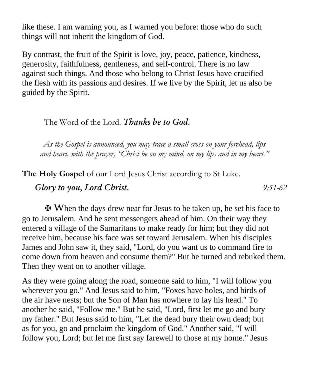like these. I am warning you, as I warned you before: those who do such things will not inherit the kingdom of God.

By contrast, the fruit of the Spirit is love, joy, peace, patience, kindness, generosity, faithfulness, gentleness, and self-control. There is no law against such things. And those who belong to Christ Jesus have crucified the flesh with its passions and desires. If we live by the Spirit, let us also be guided by the Spirit.

#### The Word of the Lord. *Thanks be to God.*

*As the Gospel is announced, you may trace a small cross on your forehead, lips and heart, with the prayer, "Christ be on my mind, on my lips and in my heart."*

**The Holy Gospel** of our Lord Jesus Christ according to St Luke.

 *Glory to you, Lord Christ. 9:51-62*

✠ When the days drew near for Jesus to be taken up, he set his face to go to Jerusalem. And he sent messengers ahead of him. On their way they entered a village of the Samaritans to make ready for him; but they did not receive him, because his face was set toward Jerusalem. When his disciples James and John saw it, they said, "Lord, do you want us to command fire to come down from heaven and consume them?" But he turned and rebuked them. Then they went on to another village.

As they were going along the road, someone said to him, "I will follow you wherever you go." And Jesus said to him, "Foxes have holes, and birds of the air have nests; but the Son of Man has nowhere to lay his head." To another he said, "Follow me." But he said, "Lord, first let me go and bury my father." But Jesus said to him, "Let the dead bury their own dead; but as for you, go and proclaim the kingdom of God." Another said, "I will follow you, Lord; but let me first say farewell to those at my home." Jesus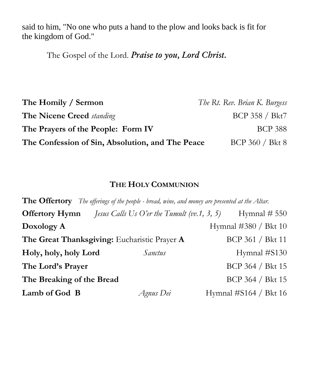said to him, "No one who puts a hand to the plow and looks back is fit for the kingdom of God."

The Gospel of the Lord. *Praise to you, Lord Christ.*

| The Homily / Sermon                              | The Rt. Rev. Brian K. Burgess |
|--------------------------------------------------|-------------------------------|
| <b>The Nicene Creed standing</b>                 | BCP 358 / Bkt7                |
| The Prayers of the People: Form IV               | <b>BCP 388</b>                |
| The Confession of Sin, Absolution, and The Peace | BCP 360 / Bkt 8               |

#### **THE HOLY COMMUNION**

| <b>The Offertory</b> The offerings of the people - bread, wine, and money are presented at the Altar. |                                                    |                       |  |  |
|-------------------------------------------------------------------------------------------------------|----------------------------------------------------|-----------------------|--|--|
| <b>Offertory Hymn</b>                                                                                 | <i>Jesus Calls Us O'er the Tumult (vv.1, 3, 5)</i> | Hymnal $# 550$        |  |  |
| Doxology A                                                                                            |                                                    | Hymnal #380 / Bkt 10  |  |  |
| The Great Thanksgiving: Eucharistic Prayer A                                                          |                                                    | BCP 361 / Bkt 11      |  |  |
| Holy, holy, holy Lord                                                                                 | Sanctus                                            | Hymnal #S130          |  |  |
| The Lord's Prayer                                                                                     |                                                    | BCP 364 / Bkt 15      |  |  |
| The Breaking of the Bread                                                                             |                                                    | BCP 364 / Bkt 15      |  |  |
| Lamb of God B                                                                                         | Agnus Dei                                          | Hymnal #S164 / Bkt 16 |  |  |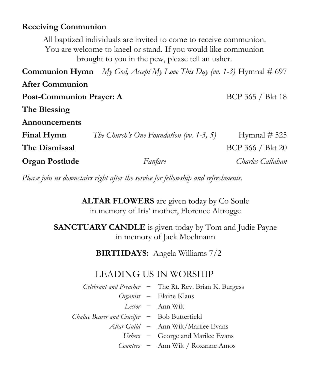#### **Receiving Communion**

All baptized individuals are invited to come to receive communion. You are welcome to kneel or stand. If you would like communion brought to you in the pew, please tell an usher.

**Communion Hymn** *My God, Accept My Love This Day (vv. 1-3)* Hymnal  $\#$  697 **After Communion Post-Communion Prayer: A** BCP 365 / Bkt 18 **The Blessing Announcements Final Hymn** *The Church's One Foundation (vv. 1-3, 5)* Hymnal # 525 **The Dismissal** BCP 366 / Bkt 20 **Organ Postlude** *Fanfare Charles Callahan*

*Please join us downstairs right after the service for fellowship and refreshments.*

**ALTAR FLOWERS** are given today by Co Soule in memory of Iris' mother, Florence Altrogge

**SANCTUARY CANDLE** is given today by Tom and Judie Payne in memory of Jack Moelmann

**BIRTHDAYS:** Angela Williams 7/2

## LEADING US IN WORSHIP

*Celebrant and Preacher* – The Rt. Rev. Brian K. Burgess *Organist* – Elaine Klaus *Lector* – Ann Wilt *Chalice Bearer and Crucifer* – Bob Butterfield *Altar Guild* – Ann Wilt/Marilee Evans *Ushers* – George and Marilee Evans

*Counters* – Ann Wilt / Roxanne Amos